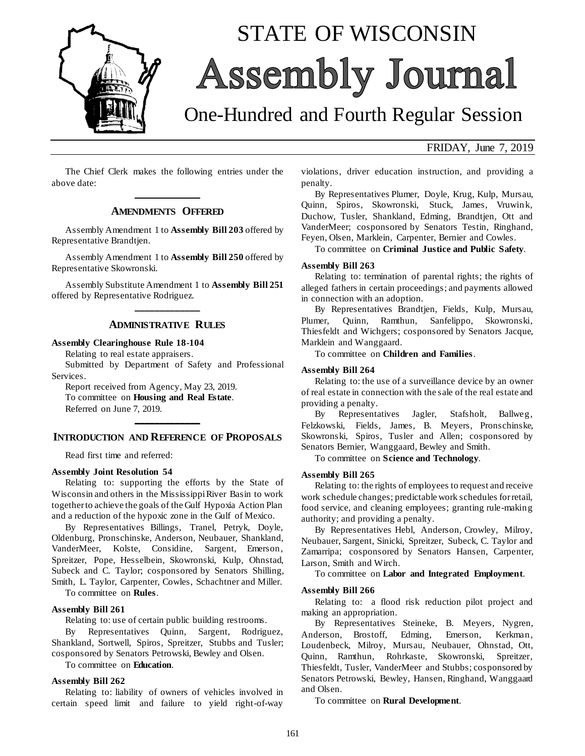

# STATE OF WISCONSIN Assembly Journal

# One-Hundred and Fourth Regular Session

#### FRIDAY, June 7, 2019

The Chief Clerk makes the following entries under the above date: **\_\_\_\_\_\_\_\_\_\_\_\_\_**

#### **AMENDMENTS OFFERED**

Assembly Amendment 1 to **Assembly Bill 203** offered by Representative Brandtjen.

Assembly Amendment 1 to **Assembly Bill 250** offered by Representative Skowronski.

Assembly Substitute Amendment 1 to **Assembly Bill 251** offered by Representative Rodriguez. **\_\_\_\_\_\_\_\_\_\_\_\_\_**

#### **ADMINISTRATIVE RULES**

#### **Assembly Clearinghouse Rule 18-104**

Relating to real estate appraisers.

Submitted by Department of Safety and Professional Services.

Report received from Agency, May 23, 2019. To committee on **Housing and Real Estate**.

Referred on June 7, 2019.

## **\_\_\_\_\_\_\_\_\_\_\_\_\_ INTRODUCTION AND REFERENCE OF PROPOSALS**

Read first time and referred:

#### **Assembly Joint Resolution 54**

Relating to: supporting the efforts by the State of Wisconsin and others in the Mississippi River Basin to work together to achieve the goals of the Gulf Hypoxia Action Plan and a reduction of the hypoxic zone in the Gulf of Mexico.

By Representatives Billings, Tranel, Petryk, Doyle, Oldenburg, Pronschinske, Anderson, Neubauer, Shankland, VanderMeer, Kolste, Considine, Sargent, Emerson, Spreitzer, Pope, Hesselbein, Skowronski, Kulp, Ohnstad, Subeck and C. Taylor; cosponsored by Senators Shilling, Smith, L. Taylor, Carpenter, Cowles, Schachtner and Miller.

To committee on **Rules**.

#### **Assembly Bill 261**

Relating to: use of certain public building restrooms.

By Representatives Quinn, Sargent, Rodriguez, Shankland, Sortwell, Spiros, Spreitzer, Stubbs and Tusler; cosponsored by Senators Petrowski, Bewley and Olsen.

To committee on **Education**.

#### **Assembly Bill 262**

Relating to: liability of owners of vehicles involved in certain speed limit and failure to yield right-of-way

violations, driver education instruction, and providing a penalty.

By Representatives Plumer, Doyle, Krug, Kulp, Mursau, Quinn, Spiros, Skowronski, Stuck, James, Vruwink, Duchow, Tusler, Shankland, Edming, Brandtjen, Ott and VanderMeer; cosponsored by Senators Testin, Ringhand, Feyen, Olsen, Marklein, Carpenter, Bernier and Cowles.

To committee on **Criminal Justice and Public Safety**.

#### **Assembly Bill 263**

Relating to: termination of parental rights; the rights of alleged fathers in certain proceedings; and payments allowed in connection with an adoption.

By Representatives Brandtjen, Fields, Kulp, Mursau, Plumer, Quinn, Ramthun, Sanfelippo, Skowronski, Thiesfeldt and Wichgers; cosponsored by Senators Jacque, Marklein and Wanggaard.

To committee on **Children and Families**.

#### **Assembly Bill 264**

Relating to: the use of a surveillance device by an owner of real estate in connection with the sale of the real estate and providing a penalty.

By Representatives Jagler, Stafsholt, Ballweg, Felzkowski, Fields, James, B. Meyers, Pronschinske, Skowronski, Spiros, Tusler and Allen; cosponsored by Senators Bernier, Wanggaard, Bewley and Smith.

To committee on **Science and Technology**.

#### **Assembly Bill 265**

Relating to: the rights of employees to request and receive work schedule changes; predictable work schedules for retail, food service, and cleaning employees; granting rule-making authority; and providing a penalty.

By Representatives Hebl, Anderson, Crowley, Milroy, Neubauer, Sargent, Sinicki, Spreitzer, Subeck, C. Taylor and Zamarripa; cosponsored by Senators Hansen, Carpenter, Larson, Smith and Wirch.

To committee on **Labor and Integrated Employment**.

#### **Assembly Bill 266**

Relating to: a flood risk reduction pilot project and making an appropriation.

By Representatives Steineke, B. Meyers, Nygren, Anderson, Brostoff, Edming, Emerson, Kerkman, Loudenbeck, Milroy, Mursau, Neubauer, Ohnstad, Ott, Quinn, Ramthun, Rohrkaste, Skowronski, Spreitzer, Thiesfeldt, Tusler, VanderMeer and Stubbs; cosponsored by Senators Petrowski, Bewley, Hansen, Ringhand, Wanggaard and Olsen.

To committee on **Rural Development**.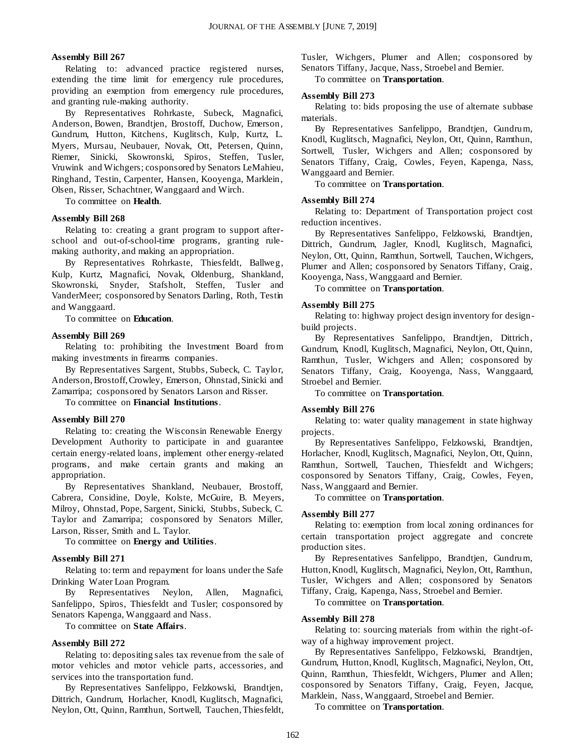#### **Assembly Bill 267**

Relating to: advanced practice registered nurses, extending the time limit for emergency rule procedures, providing an exemption from emergency rule procedures, and granting rule-making authority.

By Representatives Rohrkaste, Subeck, Magnafici, Anderson, Bowen, Brandtjen, Brostoff, Duchow, Emerson, Gundrum, Hutton, Kitchens, Kuglitsch, Kulp, Kurtz, L. Myers, Mursau, Neubauer, Novak, Ott, Petersen, Quinn, Riemer, Sinicki, Skowronski, Spiros, Steffen, Tusler, Vruwink and Wichgers; cosponsored by Senators LeMahieu, Ringhand, Testin, Carpenter, Hansen, Kooyenga, Marklein, Olsen, Risser, Schachtner, Wanggaard and Wirch.

To committee on **Health**.

#### **Assembly Bill 268**

Relating to: creating a grant program to support afterschool and out-of-school-time programs, granting rulemaking authority, and making an appropriation.

By Representatives Rohrkaste, Thiesfeldt, Ballweg, Kulp, Kurtz, Magnafici, Novak, Oldenburg, Shankland, Skowronski, Snyder, Stafsholt, Steffen, Tusler and VanderMeer; cosponsored by Senators Darling, Roth, Testin and Wanggaard.

To committee on **Education**.

#### **Assembly Bill 269**

Relating to: prohibiting the Investment Board from making investments in firearms companies.

By Representatives Sargent, Stubbs, Subeck, C. Taylor, Anderson, Brostoff, Crowley, Emerson, Ohnstad, Sinicki and Zamarripa; cosponsored by Senators Larson and Risser.

To committee on **Financial Institutions**.

#### **Assembly Bill 270**

Relating to: creating the Wisconsin Renewable Energy Development Authority to participate in and guarantee certain energy-related loans, implement other energy-related programs, and make certain grants and making an appropriation.

By Representatives Shankland, Neubauer, Brostoff, Cabrera, Considine, Doyle, Kolste, McGuire, B. Meyers, Milroy, Ohnstad, Pope, Sargent, Sinicki, Stubbs, Subeck, C. Taylor and Zamarripa; cosponsored by Senators Miller, Larson, Risser, Smith and L. Taylor.

To committee on **Energy and Utilities**.

#### **Assembly Bill 271**

Relating to: term and repayment for loans under the Safe Drinking Water Loan Program.

By Representatives Neylon, Allen, Magnafici, Sanfelippo, Spiros, Thiesfeldt and Tusler; cosponsored by Senators Kapenga, Wanggaard and Nass.

To committee on **State Affairs**.

#### **Assembly Bill 272**

Relating to: depositing sales tax revenue from the sale of motor vehicles and motor vehicle parts, accessories, and services into the transportation fund.

By Representatives Sanfelippo, Felzkowski, Brandtjen, Dittrich, Gundrum, Horlacher, Knodl, Kuglitsch, Magnafici, Neylon, Ott, Quinn, Ramthun, Sortwell, Tauchen, Thiesfeldt, Tusler, Wichgers, Plumer and Allen; cosponsored by Senators Tiffany, Jacque, Nass, Stroebel and Bernier.

To committee on **Transportation**.

#### **Assembly Bill 273**

Relating to: bids proposing the use of alternate subbase materials.

By Representatives Sanfelippo, Brandtjen, Gundrum, Knodl, Kuglitsch, Magnafici, Neylon, Ott, Quinn, Ramthun, Sortwell, Tusler, Wichgers and Allen; cosponsored by Senators Tiffany, Craig, Cowles, Feyen, Kapenga, Nass, Wanggaard and Bernier.

To committee on **Transportation**.

#### **Assembly Bill 274**

Relating to: Department of Transportation project cost reduction incentives.

By Representatives Sanfelippo, Felzkowski, Brandtjen, Dittrich, Gundrum, Jagler, Knodl, Kuglitsch, Magnafici, Neylon, Ott, Quinn, Ramthun, Sortwell, Tauchen, Wichgers, Plumer and Allen; cosponsored by Senators Tiffany, Craig, Kooyenga, Nass, Wanggaard and Bernier.

To committee on **Transportation**.

#### **Assembly Bill 275**

Relating to: highway project design inventory for designbuild projects.

By Representatives Sanfelippo, Brandtjen, Dittrich, Gundrum, Knodl, Kuglitsch, Magnafici, Neylon, Ott, Quinn, Ramthun, Tusler, Wichgers and Allen; cosponsored by Senators Tiffany, Craig, Kooyenga, Nass, Wanggaard, Stroebel and Bernier.

To committee on **Transportation**.

#### **Assembly Bill 276**

Relating to: water quality management in state highway projects.

By Representatives Sanfelippo, Felzkowski, Brandtjen, Horlacher, Knodl, Kuglitsch, Magnafici, Neylon, Ott, Quinn, Ramthun, Sortwell, Tauchen, Thiesfeldt and Wichgers; cosponsored by Senators Tiffany, Craig, Cowles, Feyen, Nass, Wanggaard and Bernier.

To committee on **Transportation**.

#### **Assembly Bill 277**

Relating to: exemption from local zoning ordinances for certain transportation project aggregate and concrete production sites.

By Representatives Sanfelippo, Brandtjen, Gundrum, Hutton, Knodl, Kuglitsch, Magnafici, Neylon, Ott, Ramthun, Tusler, Wichgers and Allen; cosponsored by Senators Tiffany, Craig, Kapenga, Nass, Stroebel and Bernier.

To committee on **Transportation**.

#### **Assembly Bill 278**

Relating to: sourcing materials from within the right-ofway of a highway improvement project.

By Representatives Sanfelippo, Felzkowski, Brandtjen, Gundrum, Hutton, Knodl, Kuglitsch, Magnafici, Neylon, Ott, Quinn, Ramthun, Thiesfeldt, Wichgers, Plumer and Allen; cosponsored by Senators Tiffany, Craig, Feyen, Jacque, Marklein, Nass, Wanggaard, Stroebel and Bernier.

To committee on **Transportation**.